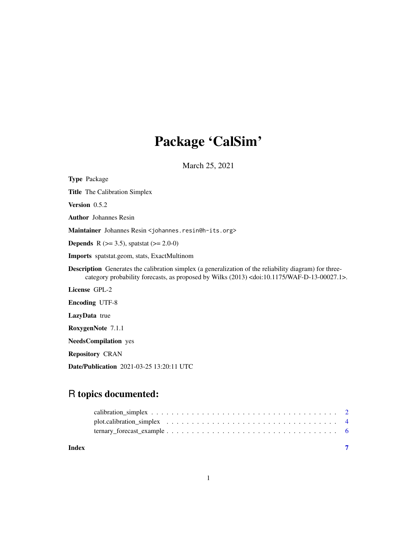## Package 'CalSim'

March 25, 2021

Type Package Title The Calibration Simplex Version 0.5.2 Author Johannes Resin Maintainer Johannes Resin <johannes.resin@h-its.org> **Depends** R ( $>= 3.5$ ), spatstat ( $>= 2.0-0$ ) Imports spatstat.geom, stats, ExactMultinom Description Generates the calibration simplex (a generalization of the reliability diagram) for threecategory probability forecasts, as proposed by Wilks (2013) <doi:10.1175/WAF-D-13-00027.1>. License GPL-2 Encoding UTF-8 LazyData true RoxygenNote 7.1.1 NeedsCompilation yes Repository CRAN Date/Publication 2021-03-25 13:20:11 UTC

### R topics documented:

| Index |  |
|-------|--|
|       |  |
|       |  |
|       |  |

1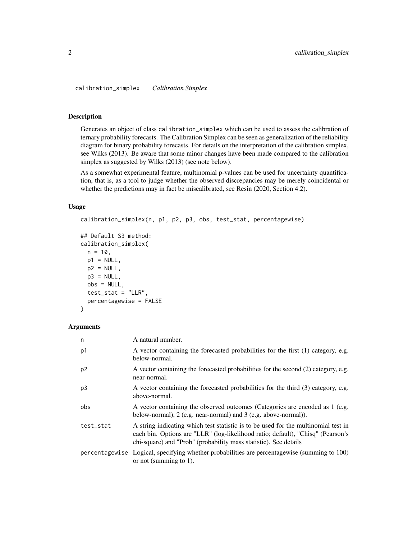<span id="page-1-1"></span><span id="page-1-0"></span>calibration\_simplex *Calibration Simplex*

#### Description

Generates an object of class calibration\_simplex which can be used to assess the calibration of ternary probability forecasts. The Calibration Simplex can be seen as generalization of the reliability diagram for binary probability forecasts. For details on the interpretation of the calibration simplex, see Wilks (2013). Be aware that some minor changes have been made compared to the calibration simplex as suggested by Wilks (2013) (see note below).

As a somewhat experimental feature, multinomial p-values can be used for uncertainty quantification, that is, as a tool to judge whether the observed discrepancies may be merely coincidental or whether the predictions may in fact be miscalibrated, see Resin (2020, Section 4.2).

#### Usage

```
calibration_simplex(n, p1, p2, p3, obs, test_stat, percentagewise)
## Default S3 method:
calibration_simplex(
 n = 10,
 p1 = NULL,p2 = NULL,p3 = NULL,obs = NULL,
 test\_stat = "LLR",percentagewise = FALSE
)
```
#### Arguments

| n              | A natural number.                                                                                                                                                                                                                         |
|----------------|-------------------------------------------------------------------------------------------------------------------------------------------------------------------------------------------------------------------------------------------|
| p1             | A vector containing the forecasted probabilities for the first (1) category, e.g.<br>below-normal.                                                                                                                                        |
| p <sub>2</sub> | A vector containing the forecasted probabilities for the second (2) category, e.g.<br>near-normal.                                                                                                                                        |
| p3             | A vector containing the forecasted probabilities for the third (3) category, e.g.<br>above-normal.                                                                                                                                        |
| obs            | A vector containing the observed outcomes (Categories are encoded as 1 (e.g.<br>below-normal), 2 (e.g. near-normal) and 3 (e.g. above-normal)).                                                                                           |
| test_stat      | A string indicating which test statistic is to be used for the multinomial test in<br>each bin. Options are "LLR" (log-likelihood ratio; default), "Chisq" (Pearson's<br>chi-square) and "Prob" (probability mass statistic). See details |
|                | percentagewise Logical, specifying whether probabilities are percentagewise (summing to 100)<br>or not (summing to $1$ ).                                                                                                                 |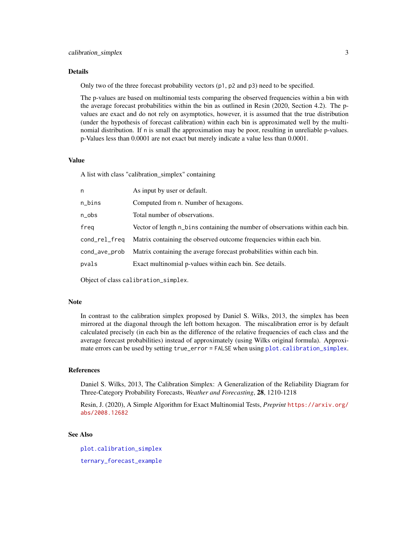#### <span id="page-2-0"></span>Details

Only two of the three forecast probability vectors (p1, p2 and p3) need to be specified.

The p-values are based on multinomial tests comparing the observed frequencies within a bin with the average forecast probabilities within the bin as outlined in Resin (2020, Section 4.2). The pvalues are exact and do not rely on asymptotics, however, it is assumed that the true distribution (under the hypothesis of forecast calibration) within each bin is approximated well by the multinomial distribution. If n is small the approximation may be poor, resulting in unreliable p-values. p-Values less than 0.0001 are not exact but merely indicate a value less than 0.0001.

#### Value

A list with class "calibration\_simplex" containing

| n             | As input by user or default.                                                   |
|---------------|--------------------------------------------------------------------------------|
| n_bins        | Computed from n. Number of hexagons.                                           |
| n_obs         | Total number of observations.                                                  |
| freg          | Vector of length n_bins containing the number of observations within each bin. |
| cond_rel_freq | Matrix containing the observed outcome frequencies within each bin.            |
| cond_ave_prob | Matrix containing the average forecast probabilities within each bin.          |
| pvals         | Exact multinomial p-values within each bin. See details.                       |
|               |                                                                                |

Object of class calibration\_simplex.

#### Note

In contrast to the calibration simplex proposed by Daniel S. Wilks, 2013, the simplex has been mirrored at the diagonal through the left bottom hexagon. The miscalibration error is by default calculated precisely (in each bin as the difference of the relative frequencies of each class and the average forecast probabilities) instead of approximately (using Wilks original formula). Approximate errors can be used by setting true\_error = FALSE when using [plot.calibration\\_simplex](#page-3-1).

#### References

Daniel S. Wilks, 2013, The Calibration Simplex: A Generalization of the Reliability Diagram for Three-Category Probability Forecasts, *Weather and Forecasting*, 28, 1210-1218

Resin, J. (2020), A Simple Algorithm for Exact Multinomial Tests, *Preprint* [https://arxiv.org/](https://arxiv.org/abs/2008.12682) [abs/2008.12682](https://arxiv.org/abs/2008.12682)

#### See Also

[plot.calibration\\_simplex](#page-3-1) [ternary\\_forecast\\_example](#page-5-1)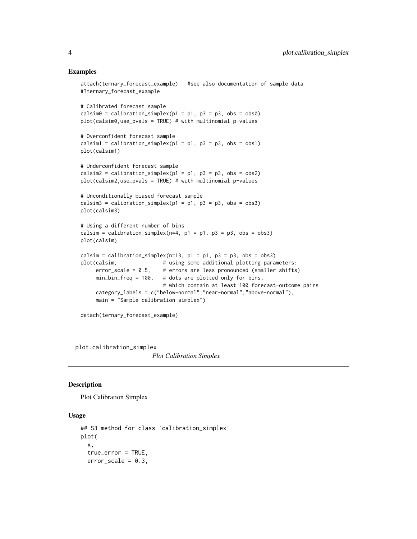#### Examples

```
attach(ternary_forecast_example) #see also documentation of sample data
#?ternary_forecast_example
# Calibrated forecast sample
calsim = calibration\_simplex(p1 = p1, p3 = p3, obs = obs0)plot(calsim0,use_pvals = TRUE) # with multinomial p-values
# Overconfident forecast sample
calsim1 = calibration_simplex(p1 = p1, p3 = p3, obs = obs1)
plot(calsim1)
# Underconfident forecast sample
calsim2 = calibration_simplex(p1 = p1, p3 = p3, obs = obs2)
plot(calsim2,use_pvals = TRUE) # with multinomial p-values
# Unconditionally biased forecast sample
calsim3 = calibration_simplex(p1 = p1, p3 = p3, obs = obs3)
plot(calsim3)
# Using a different number of bins
calsim = calibration_simplex(n=4, p1 = p1, p3 = p3, obs = obs3)
plot(calsim)
calsim = calibration_simplex(n=13, p1 = p1, p3 = p3, obs = obs3)
plot(calsim, \# using some additional plotting parameters:
    error\_scale = 0.5, # errors are less pronounced (smaller shifts)
    min_bin_freq = 100, # dots are plotted only for bins,
                          # which contain at least 100 forecast-outcome pairs
    category_labels = c("below-normal","near-normal","above-normal"),
    main = "Sample calibration simplex")
detach(ternary_forecast_example)
```
<span id="page-3-1"></span>plot.calibration\_simplex

*Plot Calibration Simplex*

#### Description

Plot Calibration Simplex

#### Usage

```
## S3 method for class 'calibration_simplex'
plot(
  x,
  true_error = TRUE,
  error\_scale = 0.3,
```
<span id="page-3-0"></span>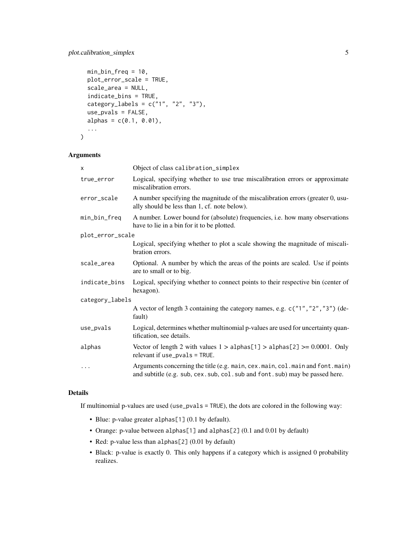```
min_bin_freq = 10,
 plot_error_scale = TRUE,
  scale_area = NULL,
  indicate_bins = TRUE,
 categorical\_labels = c("1", "2", "3"),
 use_pvals = FALSE,
 alpha = c(0.1, 0.01),...
)
```
#### Arguments

| X                | Object of class calibration_simplex                                                                                                                              |  |  |  |
|------------------|------------------------------------------------------------------------------------------------------------------------------------------------------------------|--|--|--|
| true_error       | Logical, specifying whether to use true miscalibration errors or approximate<br>miscalibration errors.                                                           |  |  |  |
| error_scale      | A number specifying the magnitude of the miscalibration errors (greater 0, usu-<br>ally should be less than 1, cf. note below).                                  |  |  |  |
| min_bin_freq     | A number. Lower bound for (absolute) frequencies, i.e. how many observations<br>have to lie in a bin for it to be plotted.                                       |  |  |  |
| plot_error_scale |                                                                                                                                                                  |  |  |  |
|                  | Logical, specifying whether to plot a scale showing the magnitude of miscali-<br>bration errors.                                                                 |  |  |  |
| scale_area       | Optional. A number by which the areas of the points are scaled. Use if points<br>are to small or to big.                                                         |  |  |  |
| indicate_bins    | Logical, specifying whether to connect points to their respective bin (center of<br>hexagon).                                                                    |  |  |  |
| category_labels  |                                                                                                                                                                  |  |  |  |
|                  | A vector of length 3 containing the category names, e.g. c("1", "2", "3") (de-<br>fault)                                                                         |  |  |  |
| $use_pvals$      | Logical, determines whether multinomial p-values are used for uncertainty quan-<br>tification, see details.                                                      |  |  |  |
| alphas           | Vector of length 2 with values $1 > \text{alpha}[1] > \text{alpha}[2] > 0.0001$ . Only<br>relevant if use_pvals = TRUE.                                          |  |  |  |
| $\cdots$         | Arguments concerning the title (e.g. main, cex. main, col. main and font. main)<br>and subtitle (e.g. sub, cex. sub, col. sub and font. sub) may be passed here. |  |  |  |

#### Details

If multinomial p-values are used (use\_pvals = TRUE), the dots are colored in the following way:

- Blue: p-value greater alphas[1] (0.1 by default).
- Orange: p-value between alphas[1] and alphas[2] (0.1 and 0.01 by default)
- Red: p-value less than alphas[2] (0.01 by default)
- Black: p-value is exactly 0. This only happens if a category which is assigned 0 probability realizes.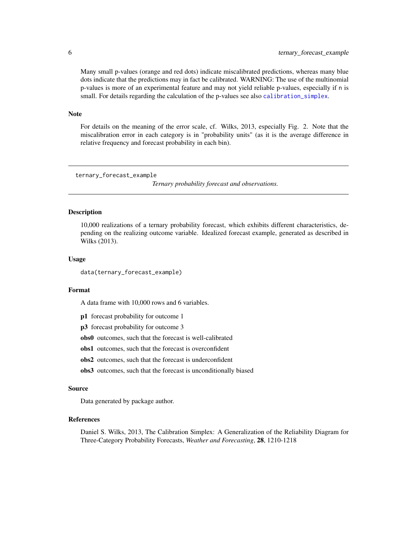Many small p-values (orange and red dots) indicate miscalibrated predictions, whereas many blue dots indicate that the predictions may in fact be calibrated. WARNING: The use of the multinomial p-values is more of an experimental feature and may not yield reliable p-values, especially if n is small. For details regarding the calculation of the p-values see also [calibration\\_simplex](#page-1-1).

#### Note

For details on the meaning of the error scale, cf. Wilks, 2013, especially Fig. 2. Note that the miscalibration error in each category is in "probability units" (as it is the average difference in relative frequency and forecast probability in each bin).

```
ternary_forecast_example
```
*Ternary probability forecast and observations.*

#### **Description**

10,000 realizations of a ternary probability forecast, which exhibits different characteristics, depending on the realizing outcome variable. Idealized forecast example, generated as described in Wilks (2013).

#### Usage

data(ternary\_forecast\_example)

#### Format

A data frame with 10,000 rows and 6 variables.

- p1 forecast probability for outcome 1
- p3 forecast probability for outcome 3

obs0 outcomes, such that the forecast is well-calibrated

obs1 outcomes, such that the forecast is overconfident

- obs2 outcomes, such that the forecast is underconfident
- obs3 outcomes, such that the forecast is unconditionally biased

#### Source

Data generated by package author.

#### References

Daniel S. Wilks, 2013, The Calibration Simplex: A Generalization of the Reliability Diagram for Three-Category Probability Forecasts, *Weather and Forecasting*, 28, 1210-1218

<span id="page-5-0"></span>